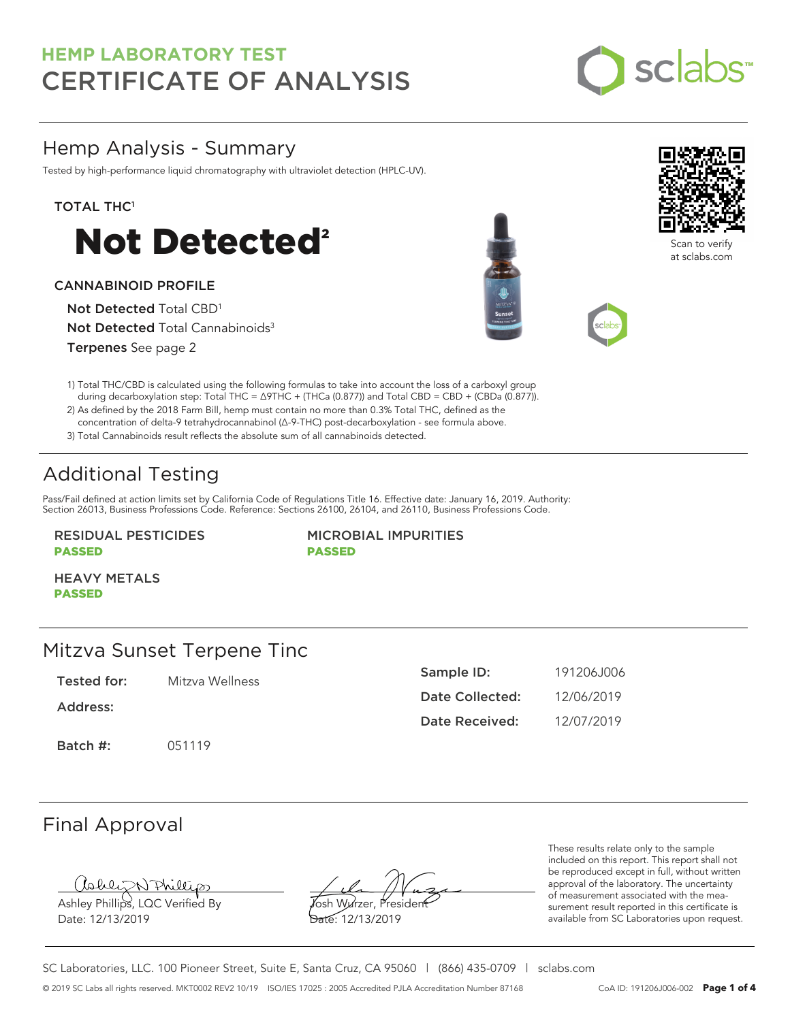

### Hemp Analysis - Summary

Tested by high-performance liquid chromatography with ultraviolet detection (HPLC-UV).

### TOTAL THC<sup>1</sup>



#### CANNABINOID PROFILE

Not Detected Total CBD<sup>1</sup> Not Detected Total Cannabinoids<sup>3</sup> Terpenes See page 2





Scan to verify at sclabs.com



2) As defined by the 2018 Farm Bill, hemp must contain no more than 0.3% Total THC, defined as the concentration of delta-9 tetrahydrocannabinol (Δ-9-THC) post-decarboxylation - see formula above.

3) Total Cannabinoids result reflects the absolute sum of all cannabinoids detected.

# Additional Testing

Pass/Fail defined at action limits set by California Code of Regulations Title 16. Effective date: January 16, 2019. Authority: Section 26013, Business Professions Code. Reference: Sections 26100, 26104, and 26110, Business Professions Code.

RESIDUAL PESTICIDES PASSED

MICROBIAL IMPURITIES PASSED

HEAVY METALS PASSED

### Mitzva Sunset Terpene Tinc

Tested for: Mitzva Wellness

Address:

Batch #: 051119

| Sample ID:      | 191206.1006 |
|-----------------|-------------|
| Date Collected: | 12/06/2019  |
| Date Received:  | 12/07/2019  |

## Final Approval

Ashley Phillips, LQC Verified By

Date: 12/13/2019

Josh Wurzer, President Date: 12/13/2019

These results relate only to the sample included on this report. This report shall not be reproduced except in full, without written approval of the laboratory. The uncertainty of measurement associated with the measurement result reported in this certificate is available from SC Laboratories upon request.

SC Laboratories, LLC. 100 Pioneer Street, Suite E, Santa Cruz, CA 95060 | (866) 435-0709 | sclabs.com © 2019 SC Labs all rights reserved. MKT0002 REV2 10/19 ISO/IES 17025 : 2005 Accredited PJLA Accreditation Number 87168 CoA ID: 191206J006-002 **Page 1 of 4**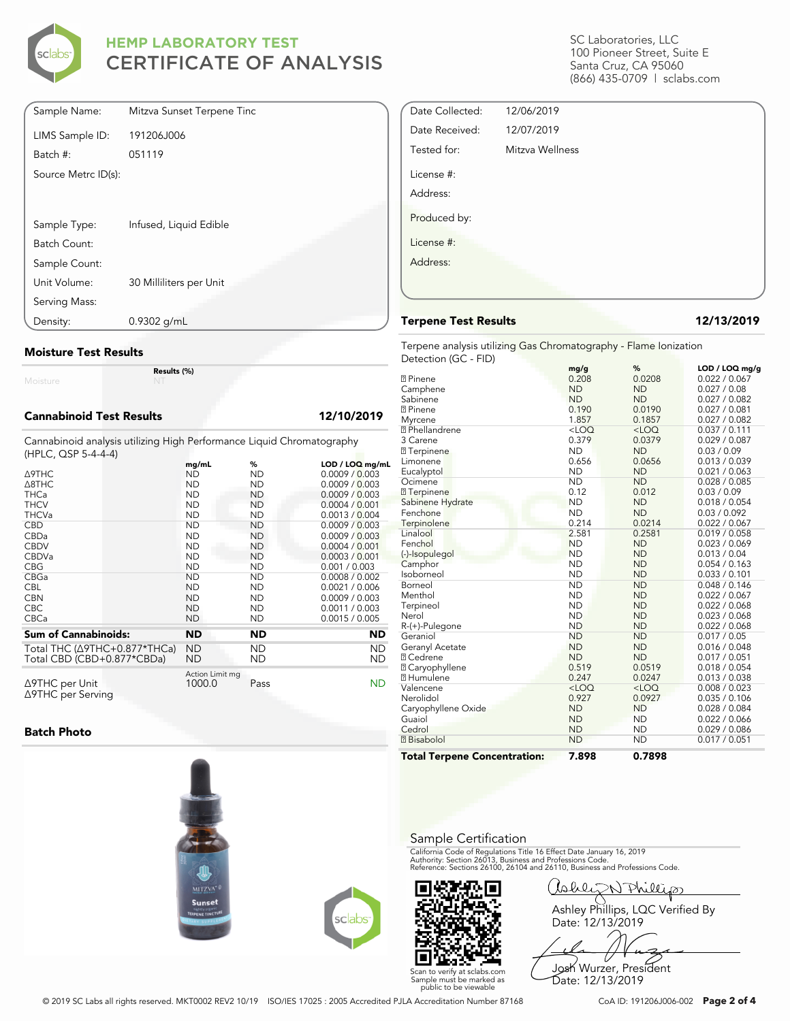

| Sample Name:        | Mitzva Sunset Terpene Tinc |
|---------------------|----------------------------|
| LIMS Sample ID:     | 191206J006                 |
| Batch #:            | 051119                     |
| Source Metrc ID(s): |                            |
|                     |                            |
|                     |                            |
| Sample Type:        | Infused, Liquid Edible     |
| Batch Count:        |                            |
| Sample Count:       |                            |
| Unit Volume:        | 30 Milliliters per Unit    |
| Serving Mass:       |                            |
| Density:            | 0.9302 g/mL                |

#### **Moisture Test Results**

Moisture

#### **Cannabinoid Test Results 12/10/2019**

Cannabinoid analysis utilizing High Performance Liquid Chromatography (HPLC, QSP 5-4-4-4)

**Results (%)**

|                                                | mg/mL                     | %         | $LOD / LOQ$ mg/mL |
|------------------------------------------------|---------------------------|-----------|-------------------|
| ∆9THC                                          | ND                        | ND.       | 0.0009 / 0.003    |
| $\triangle$ 8THC                               | <b>ND</b>                 | ND.       | 0.0009 / 0.003    |
| <b>THCa</b>                                    | <b>ND</b>                 | <b>ND</b> | 0.0009 / 0.003    |
| <b>THCV</b>                                    | <b>ND</b>                 | <b>ND</b> | 0.0004 / 0.001    |
| <b>THCVa</b>                                   | <b>ND</b>                 | <b>ND</b> | 0.0013 / 0.004    |
| <b>CBD</b>                                     | <b>ND</b>                 | <b>ND</b> | 0.0009 / 0.003    |
| CBDa                                           | <b>ND</b>                 | <b>ND</b> | 0.0009 / 0.003    |
| <b>CBDV</b>                                    | <b>ND</b>                 | <b>ND</b> | 0.0004 / 0.001    |
| <b>CBDVa</b>                                   | <b>ND</b>                 | <b>ND</b> | 0.0003 / 0.001    |
| <b>CBG</b>                                     | <b>ND</b>                 | <b>ND</b> | 0.001 / 0.003     |
| CBGa                                           | <b>ND</b>                 | <b>ND</b> | 0.0008 / 0.002    |
| <b>CBL</b>                                     | <b>ND</b>                 | <b>ND</b> | 0.0021 / 0.006    |
| <b>CBN</b>                                     | <b>ND</b>                 | <b>ND</b> | 0.0009 / 0.003    |
| <b>CBC</b>                                     | <b>ND</b>                 | <b>ND</b> | 0.0011 / 0.003    |
| <b>CBCa</b>                                    | <b>ND</b>                 | <b>ND</b> | 0.0015 / 0.005    |
| <b>Sum of Cannabinoids:</b>                    | <b>ND</b>                 | <b>ND</b> | ND                |
| Total THC (Δ9THC+0.877*THCa)                   | <b>ND</b>                 | ND.       | ND.               |
| Total CBD (CBD+0.877*CBDa)                     | <b>ND</b>                 | ND        | ND.               |
| $\triangle$ 9THC per Unit<br>∆9THC per Serving | Action Limit mg<br>1000.0 | Pass      | <b>ND</b>         |

#### **Batch Photo**







SC Laboratories, LLC 100 Pioneer Street, Suite E Santa Cruz, CA 95060 (866) 435-0709 | sclabs.com

| Date Collected: | 12/06/2019      |  |
|-----------------|-----------------|--|
| Date Received:  | 12/07/2019      |  |
| Tested for:     | Mitzva Wellness |  |
| License #:      |                 |  |
| Address:        |                 |  |
| Produced by:    |                 |  |
| License #:      |                 |  |
| Address:        |                 |  |
|                 |                 |  |
|                 |                 |  |

#### **Terpene Test Results 12/13/2019**

Terpene analysis utilizing Gas Chromatography - Flame Ionization Detection (GC - FID)

|                                     | mg/g      | ℅         | LOD / LOQ mg/g |
|-------------------------------------|-----------|-----------|----------------|
| <b>7</b> Pinene                     | 0.208     | 0.0208    | 0.022 / 0.067  |
| Camphene                            | <b>ND</b> | <b>ND</b> | 0.027 / 0.08   |
| Sabinene                            | <b>ND</b> | <b>ND</b> | 0.027 / 0.082  |
| <b>7</b> Pinene                     | 0.190     | 0.0190    | 0.027 / 0.081  |
| Myrcene                             | 1.857     | 0.1857    | 0.027 / 0.082  |
| <sup>2</sup> Phellandrene           | $<$ LOQ   | $<$ LOQ   | 0.037 / 0.111  |
| 3 Carene                            | 0.379     | 0.0379    | 0.029 / 0.087  |
| <b>7</b> Terpinene                  | <b>ND</b> | <b>ND</b> | 0.03 / 0.09    |
| Limonene                            | 0.656     | 0.0656    | 0.013 / 0.039  |
| Eucalyptol                          | <b>ND</b> | <b>ND</b> | 0.021 / 0.063  |
| Ocimene                             | <b>ND</b> | <b>ND</b> | 0.028 / 0.085  |
| <b>7</b> Terpinene                  | 0.12      | 0.012     | 0.03 / 0.09    |
| Sabinene Hydrate                    | <b>ND</b> | <b>ND</b> | 0.018 / 0.054  |
| Fenchone                            | <b>ND</b> | <b>ND</b> | 0.03 / 0.092   |
| Terpinolene                         | 0.214     | 0.0214    | 0.022 / 0.067  |
| Linalool                            | 2.581     | 0.2581    | 0.019 / 0.058  |
| Fenchol                             | <b>ND</b> | <b>ND</b> | 0.023 / 0.069  |
| (-)-Isopulegol                      | <b>ND</b> | <b>ND</b> | 0.013 / 0.04   |
| Camphor                             | <b>ND</b> | <b>ND</b> | 0.054 / 0.163  |
| Isoborneol                          | <b>ND</b> | <b>ND</b> | 0.033 / 0.101  |
| Borneol                             | <b>ND</b> | <b>ND</b> | 0.048 / 0.146  |
| Menthol                             | <b>ND</b> | <b>ND</b> | 0.022 / 0.067  |
| Terpineol                           | <b>ND</b> | <b>ND</b> | 0.022 / 0.068  |
| Nerol                               | <b>ND</b> | <b>ND</b> | 0.023 / 0.068  |
| R-(+)-Pulegone                      | <b>ND</b> | <b>ND</b> | 0.022 / 0.068  |
| Geraniol                            | <b>ND</b> | <b>ND</b> | 0.017 / 0.05   |
| Geranyl Acetate                     | <b>ND</b> | <b>ND</b> | 0.016 / 0.048  |
| <b>7 Cedrene</b>                    | <b>ND</b> | <b>ND</b> | 0.017 / 0.051  |
| <b>2 Caryophyllene</b>              | 0.519     | 0.0519    | 0.018 / 0.054  |
| <b>7</b> Humulene                   | 0.247     | 0.0247    | 0.013 / 0.038  |
| Valencene                           | $<$ LOQ   | $<$ LOQ   | 0.008 / 0.023  |
| Nerolidol                           | 0.927     | 0.0927    | 0.035 / 0.106  |
| Caryophyllene Oxide                 | <b>ND</b> | <b>ND</b> | 0.028 / 0.084  |
| Guaiol                              | <b>ND</b> | <b>ND</b> | 0.022 / 0.066  |
| Cedrol                              | <b>ND</b> | <b>ND</b> | 0.029 / 0.086  |
| <b>7</b> Bisabolol                  | <b>ND</b> | <b>ND</b> | 0.017 / 0.051  |
| <b>Total Terpene Concentration:</b> | 7.898     | 0.7898    |                |

#### Sample Certification

California Code of Regulations Title 16 Effect Date January 16, 2019<br>Authority: Section 26013, Business and Professions Code.<br>Reference: Sections 26100, 26104 and 26110, Business and Professions Code.

Callez Anillip Ashley Phillips, LQC Verified By Date: 12/13/2019

Josh Wurzer, President Date: 12/13/2019

Scan to verify at sclabs.com Sample must be marked as public to be viewable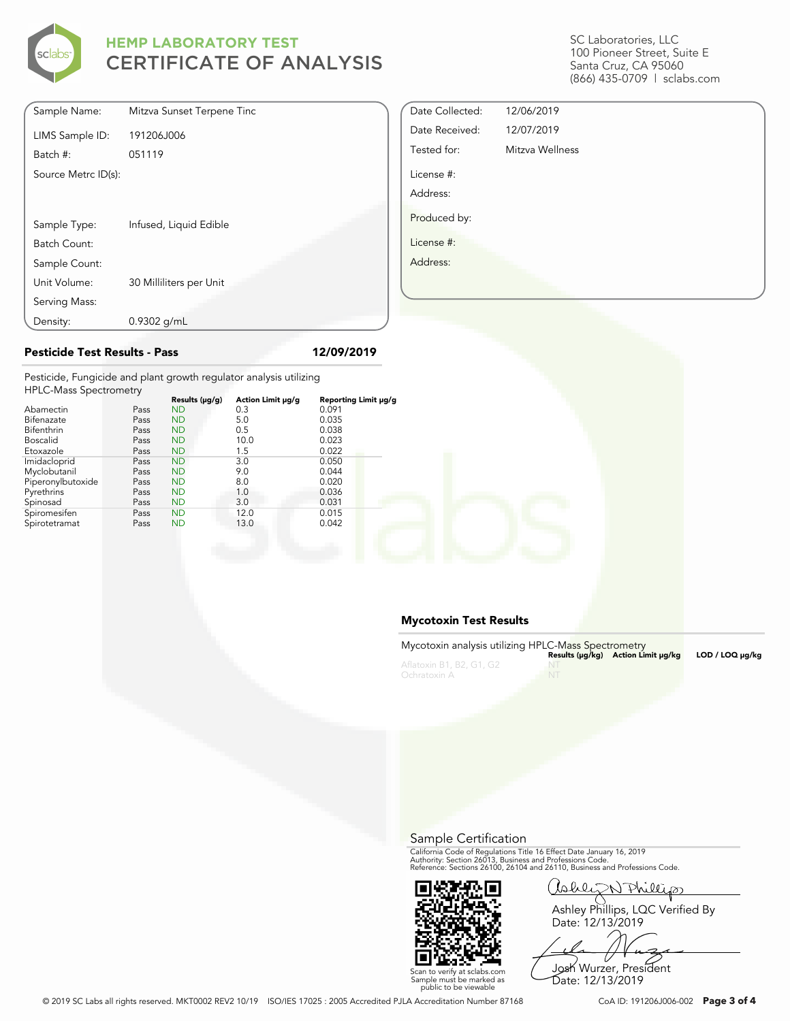

SC Laboratories, LLC 100 Pioneer Street, Suite E Santa Cruz, CA 95060 (866) 435-0709 | sclabs.com

| Sample Name:        | Mitzva Sunset Terpene Tinc |
|---------------------|----------------------------|
| LIMS Sample ID:     | 191206J006                 |
| Batch #:            | 051119                     |
| Source Metrc ID(s): |                            |
|                     |                            |
|                     |                            |
| Sample Type:        | Infused, Liquid Edible     |
| Batch Count:        |                            |
| Sample Count:       |                            |
| Unit Volume:        | 30 Milliliters per Unit    |
| Serving Mass:       |                            |
| Density:            | $0.9302$ g/mL              |

| Date Collected: | 12/06/2019      |
|-----------------|-----------------|
| Date Received:  | 12/07/2019      |
| Tested for:     | Mitzva Wellness |
| License #:      |                 |
| Address:        |                 |
| Produced by:    |                 |
| License #:      |                 |
| Address:        |                 |
|                 |                 |

#### **Pesticide Test Results - Pass 12/09/2019**

Pesticide, Fungicide and plant growth regulator analysis utilizing  $HPIC$ -Mass  $S$ 

| TH LONGSS SPECTIONICITY |      |                |                   |                      |  |
|-------------------------|------|----------------|-------------------|----------------------|--|
|                         |      | Results (µg/g) | Action Limit µg/g | Reporting Limit µg/g |  |
| Abamectin               | Pass | <b>ND</b>      | 0.3               | 0.091                |  |
| Bifenazate              | Pass | <b>ND</b>      | 5.0               | 0.035                |  |
| Bifenthrin              | Pass | <b>ND</b>      | 0.5               | 0.038                |  |
| <b>Boscalid</b>         | Pass | <b>ND</b>      | 10.0              | 0.023                |  |
| Etoxazole               | Pass | <b>ND</b>      | 1.5               | 0.022                |  |
| Imidacloprid            | Pass | <b>ND</b>      | 3.0               | 0.050                |  |
| Myclobutanil            | Pass | <b>ND</b>      | 9.0               | 0.044                |  |
| Piperonylbutoxide       | Pass | <b>ND</b>      | 8.0               | 0.020                |  |
| Pyrethrins              | Pass | <b>ND</b>      | 1.0               | 0.036                |  |
| Spinosad                | Pass | <b>ND</b>      | 3.0               | 0.031                |  |
| Spiromesifen            | Pass | <b>ND</b>      | 12.0              | 0.015                |  |
| Spirotetramat           | Pass | <b>ND</b>      | 13.0              | 0.042                |  |
|                         |      |                |                   |                      |  |

#### **Mycotoxin Test Results**

| Mycotoxin analysis utilizing HPLC-Mass Spectrometry |      | Results (µq/kq) Action Limit µq/kq | $LOD / LOQ \mu q/kg$ |
|-----------------------------------------------------|------|------------------------------------|----------------------|
| Aflatoxin B1, B2, G1, G2<br>Ochratoxin A            | - NT |                                    |                      |

Sample Certification

California Code of Regulations Title 16 Effect Date January 16, 2019<br>Authority: Section 26013, Business and Professions Code.<br>Reference: Sections 26100, 26104 and 26110, Business and Professions Code.



Callez N Phillips Ashley Phillips, LQC Verified By

Date: 12/13/2019

Scan to verify at sclabs.com Sample must be marked as public to be viewable Josh Wurzer, President Date: 12/13/2019

© 2019 SC Labs all rights reserved. MKT0002 REV2 10/19 ISO/IES 17025 : 2005 Accredited PJLA Accreditation Number 87168 CoA ID: 191206J006-002 **Page 3 of 4**